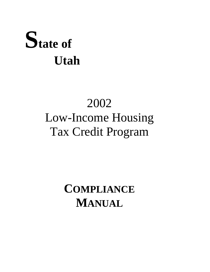# **State of Utah**

## 2002 Low-Income Housing Tax Credit Program

### **COMPLIANCE MANUAL**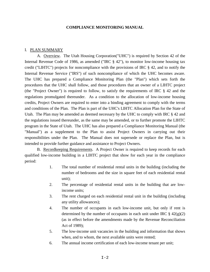#### **COMPLIANCE MONITORING MANUAL**

#### I. PLAN SUMMARY

A. Overview. The Utah Housing Corporation("UHC") is required by Section 42 of the Internal Revenue Code of 1986, as amended ("IRC § 42"), to monitor low-income housing tax credit ("LIHTC") projects for noncompliance with the provisions of IRC § 42, and to notify the Internal Revenue Service ("IRS") of such noncompliance of which the UHC becomes aware. The UHC has prepared a Compliance Monitoring Plan (the "Plan") which sets forth the procedures that the UHC shall follow, and those procedures that an owner of a LIHTC project (the "Project Owner") is required to follow, to satisfy the requirements of IRC § 42 and the regulations promulgated thereunder. As a condition to the allocation of low-income housing credits, Project Owners are required to enter into a binding agreement to comply with the terms and conditions of the Plan. The Plan is part of the UHC's LIHTC Allocation Plan for the State of Utah. The Plan may be amended as deemed necessary by the UHC to comply with IRC § 42 and the regulations issued thereunder, as the same may be amended, or to further promote the LIHTC program in the State of Utah. The UHC has also prepared a Compliance Monitoring Manual (the "Manual") as a supplement to the Plan to assist Project Owners in carrying out their responsibilities under the Plan. The Manual does not supersede or replace the Plan, but is intended to provide further guidance and assistance to Project Owners.

B. Recordkeeping Requirements. A Project Owner is required to keep records for each qualified low-income building in a LIHTC project that show for each year in the compliance period:

- 1. The total number of residential rental units in the building (including the number of bedrooms and the size in square feet of each residential rental unit);
- 2. The percentage of residential rental units in the building that are lowincome units;
- 3. The rent charged on each residential rental unit in the building (including any utility allowances);
- 4. The number of occupants in each low-income unit, but only if rent is determined by the number of occupants in each unit under IRC  $\S 42(g)(2)$ (as in effect before the amendments made by the Revenue Reconciliation Act of 1989);
- 5. The low-income unit vacancies in the building and information that shows when, and to whom, the next available units were rented;
- 6. The annual income certification of each low-income tenant per unit;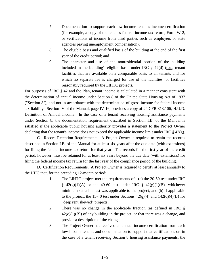- 7. Documentation to support each low-income tenant's income certification (for example, a copy of the tenant's federal income tax return, Form W-2, or verifications of income from third parties such as employers or state agencies paying unemployment compensation);
- 8. The eligible basis and qualified basis of the building at the end of the first year of the credit period; and
- 9. The character and use of the nonresidential portion of the building included in the building's eligible basis under IRC  $\S$  42(d) (e.g., tenant facilities that are available on a comparable basis to all tenants and for which no separate fee is charged for use of the facilities, or facilities reasonably required by the LIHTC project).

For purposes of IRC § 42 and the Plan, tenant income is calculated in a manner consistent with the determination of annual income under Section 8 of the United State Housing Act of 1937 ("Section 8"), and not in accordance with the determination of gross income for federal income tax liability. Section IV of the Manual, page IV-16, provides a copy of 24 CFR 813.106, H.U.D. Definition of Annual Income. In the case of a tenant receiving housing assistance payments under Section 8, the documentation requirement described in Section I.B. of the Manual is satisfied if the applicable public housing authority provides a statement to the Project Owner declaring that the tenant's income does not exceed the applicable income limit under IRC § 42(g).

C. Record Retention Requirements. A Project Owner is required to retain the records described in Section I.B. of the Manual for at least six years after the due date (with extensions) for filing the federal income tax return for that year. The records for the first year of the credit period, however, must be retained for at least six years beyond the due date (with extensions) for filing the federal income tax return for the last year of the compliance period of the building.

D. Certification Requirements. A Project Owner is required to certify at least annually to the UHC that, for the preceding 12-month period:

- 1. The LIHTC project met the requirements of: (a) the 20-50 test under IRC  $\frac{8}{9}$  42(g)(1)(A) or the 40-60 test under IRC  $\frac{8}{9}$  42(g)(1)(B), whichever minimum set-aside test was applicable to the project; and (b) if applicable to the project, the 15-40 test under Sections  $42(g)(4)$  and  $142(d)(4)(B)$  for "deep rent skewed" projects;
- 2. There was no change in the applicable fraction (as defined in IRC §  $42(c)(1)(B)$  of any building in the project, or that there was a change, and provide a description of the change;
- 3. The Project Owner has received an annual income certification from each low-income tenant, and documentation to support that certification; or, in the case of a tenant receiving Section 8 housing assistance payments, the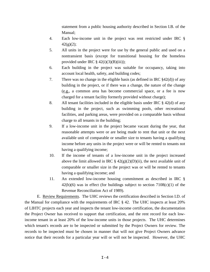statement from a public housing authority described in Section I.B. of the Manual;

- 4. Each low-income unit in the project was rent restricted under IRC §  $42(g)(2);$
- 5. All units in the project were for use by the general public and used on a nontransient basis (except for transitional housing for the homeless provided under IRC  $\S$  42(i)(3)(B)(iii));
- 6. Each building in the project was suitable for occupancy, taking into account local health, safety, and building codes;
- 7. There was no change in the eligible basis (as defined in IRC §42(d)) of any building in the project, or if there was a change, the nature of the change (e.g., a common area has become commercial space, or a fee is now charged for a tenant facility formerly provided without charge);
- 8. All tenant facilities included in the eligible basis under IRC  $\S$  42(d) of any building in the project, such as swimming pools, other recreational facilities, and parking areas, were provided on a comparable basis without charge to all tenants in the building;
- 9. If a low-income unit in the project became vacant during the year, that reasonable attempts were or are being made to rent that unit or the next available unit of comparable or smaller size to tenants having a qualifying income before any units in the project were or will be rented to tenants not having a qualifying income;
- 10. If the income of tenants of a low-income unit in the project increased above the limit allowed in IRC  $\S 42(g)(2)(D)(ii)$ , the next available unit of comparable or smaller size in the project was or will be rented to tenants having a qualifying income; and
- 11. An extended low-income housing commitment as described in IRC §  $42(h)(6)$  was in effect (for buildings subject to section  $7108(c)(1)$  of the Revenue Reconciliation Act of 1989).

E. Review Requirements. The UHC reviews the certification described in Section I.D. of the Manual for compliance with the requirements of IRC § 42. The UHC inspects at least 20% of LIHTC projects each year and inspects the tenant low-income certification, the documentation the Project Owner has received to support that certification, and the rent record for each lowincome tenant in at least 20% of the low-income units in those projects. The UHC determines which tenant's records are to be inspected or submitted by the Project Owners for review. The records to be inspected must be chosen in manner that will not give Project Owners advance notice that their records for a particular year will or will not be inspected. However, the UHC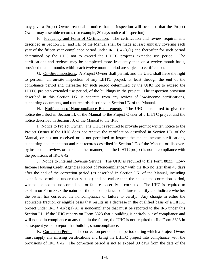may give a Project Owner reasonable notice that an inspection will occur so that the Project Owner may assemble records (for example, 30 days notice of inspection).

F. Frequency and Form of Certification. The certification and review requirements described in Section I.D. and I.E. of the Manual shall be made at least annually covering each year of the fifteen year compliance period under IRC  $\S$  42(i)(1) and thereafter for such period determined by the UHC not to exceed the LIHTC project's extended use period. The certifications and reviews may be completed more frequently than on a twelve month basis, provided that all months within each twelve month period are subject to certification.

G. On-Site Inspections. A Project Owner shall permit, and the UHC shall have the right to perform, an on-site inspection of any LIHTC project, at least through the end of the compliance period and thereafter for such period determined by the UHC not to exceed the LIHTC project's extended use period, of the buildings in the project. The inspection provision described in this Section I.G. is separate from any review of low-income certifications, supporting documents, and rent records described in Section I.E. of the Manual.

H. Notification-of-Noncompliance Requirements. The UHC is required to give the notice described in Section I.I. of the Manual to the Project Owner of a LIHTC project and the notice described in Section I.J. of the Manual to the IRS.

I. Notice to Project Owner. The UHC is required to provide prompt written notice to the Project Owner if the UHC does not receive the certification described in Section I.D. of the Manual, or has not received or is not permitted to inspect the tenant income certifications, supporting documentation and rent records described in Section I.E. of the Manual, or discovers by inspection, review, or in some other manner, that the LIHTC project is not in compliance with the provisions of IRC § 42.

J. Notice to Internal Revenue Service. The UHC is required to file Form 8823, "Low-Income Housing Credit Agencies Report of Noncompliance," with the IRS no later than 45 days after the end of the correction period (as described in Section I.K. of the Manual, including extensions permitted under that section) and no earlier than the end of the correction period, whether or not the noncompliance or failure to certify is corrected. The UHC is required to explain on Form 8823 the nature of the noncompliance or failure to certify and indicate whether the owner has corrected the noncompliance or failure to certify. Any change in either the applicable fraction or eligible basis that results in a decrease in the qualified basis of a LIHTC project under IRC  $\S$  42(c)(1)(A) is noncompliance that must be reported to the IRS under this Section I.J. If the UHC reports on Form 8823 that a building is entirely out of compliance and will not be in compliance at any time in the future, the UHC is not required to file Form 8823 in subsequent years to report that building's noncompliance.

K. Correction Period. The correction period is that period during which a Project Owner must supply any missing certifications and bring the LIHTC project into compliance with the provisions of IRC § 42. The correction period is not to exceed 90 days from the date of the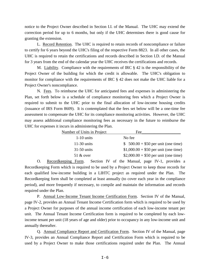notice to the Project Owner described in Section I.I. of the Manual. The UHC may extend the correction period for up to 6 months, but only if the UHC determines there is good cause for granting the extension.

L. Record Retention. The UHC is required to retain records of noncompliance or failure to certify for 6 years beyond the UHC's filing of the respective Form 8823. In all other cases, the UHC is required to retain the certifications and records described in Section I.D. of the Manual for 3 years from the end of the calendar year the UHC receives the certifications and records.

M. Liability. Compliance with the requirements of IRC  $\S$  42 is the responsibility of the Project Owner of the building for which the credit is allowable. The UHC's obligation to monitor for compliance with the requirements of IRC § 42 does not make the UHC liable for a Project Owner's noncompliance.

N. Fees. To reimburse the UHC for anticipated fees and expenses in administering the Plan, set forth below is a schedule of compliance monitoring fees which a Project Owner is required to submit to the UHC prior to the final allocation of low-income housing credits (issuance of IRS Form 8609). It is contemplated that the fees set below will be a one-time fee assessment to compensate the UHC for its compliance monitoring activities. However, the UHC may assess additional compliance monitoring fees as necessary in the future to reimburse the UHC for expenses it incurs in administering the Plan.

| Number of Units in Project | Fee                                   |
|----------------------------|---------------------------------------|
| $1-10$ units               | No fee                                |
| $11-30$ units              | \$ $500.00 + $50$ per unit (one time) |
| $31-50$ units              | $$1,000.00 + $50$ per unit (one time) |
| $51 \& over$               | $$2,000.00 + $50$ per unit (one time) |

O. Recordkeeping Form. Section IV of the Manual, page IV-1, provides a Recordkeeping Form which is required to be used by a Project Owner to keep those records for each qualified low-income building in a LIHTC project as required under the Plan. The Recordkeeping form shall be completed at least annually (to cover each year in the compliance period), and more frequently if necessary, to compile and maintain the information and records required under the Plan.

P. Annual Low-Income Tenant Income Certification Form. Section IV of the Manual, page IV-2, provides an Annual Tenant Income Certification form which is required to be used by a Project Owner for purposes of the annual income certification of each low-income tenant per unit. The Annual Tenant Income Certification form is required to be completed by each lowincome tenant per unit (18 years of age and older) prior to occupancy in any low-income unit and annually thereafter.

Q. Annual Compliance Report and Certification Form. Section IV of the Manual, page IV-3, provides an Annual Compliance Report and Certification Form which is required to be used by a Project Owner to make those certifications required under the Plan. The Annual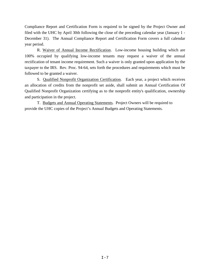Compliance Report and Certification Form is required to be signed by the Project Owner and filed with the UHC by April 30th following the close of the preceding calendar year (January 1 - December 31). The Annual Compliance Report and Certification Form covers a full calendar year period.

R. Waiver of Annual Income Rectification. Low-income housing building which are 100% occupied by qualifying low-income tenants may request a waiver of the annual rectification of tenant income requirement. Such a waiver is only granted upon application by the taxpayer to the IRS. Rev. Proc. 94-64, sets forth the procedures and requirements which must be followed to be granted a waiver.

S. Qualified Nonprofit Organization Certification. Each year, a project which receives an allocation of credits from the nonprofit set aside, shall submit an Annual Certification Of Qualified Nonprofit Organization certifying as to the nonprofit entity's qualification, ownership and participation in the project.

T. Budgets and Annual Operating Statements. Project Owners will be required to provide the UHC copies of the Project's Annual Budgets and Operating Statements.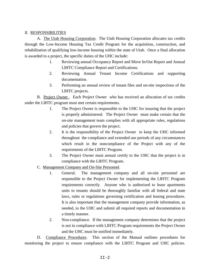#### II. RESPONSIBILITIES

A. The Utah Housing Corporation. The Utah Housing Corporation allocates tax credits through the Low-Income Housing Tax Credit Program for the acquisition, construction, and rehabilitation of qualifying low-income housing within the state of Utah. Once a final allocation is awarded to a project, the specific duties of the UHC include:

- 1. Reviewing annual Occupancy Report and Move In/Out Report and Annual LIHTC Compliance Report and Certifications.
- 2. Reviewing Annual Tenant Income Certifications and supporting documentation.
- 3. Performing an annual review of tenant files and on-site inspections of the LIHTC projects.

B. Project Owner . Each Project Owner who has received an allocation of tax credits under the LIHTC program must met certain requirements.

- 1. The Project Owner is responsible to the UHC for insuring that the project is properly administered. The Project Owner must make certain that the on-site management team complies with all appropriate rules, regulations and policies that govern the project.
- 2. It is the responsibility of the Project Owner to keep the UHC informed throughout the compliance and extended use periods of any circumstances which result in the noncompliance of the Project with any of the requirements of the LIHTC Program.
- 3. The Project Owner must annual certify to the UHC that the project is in compliance with the LIHTC Program.
- C. Management Company and On-Site Personnel.
	- 1. General. The management company and all on-site personnel are responsible to the Project Owner for implementing the LIHTC Program requirements correctly. Anyone who is authorized to lease apartments units to tenants should be thoroughly familiar with all federal and state laws, rules or regulations governing certification and leasing procedures. It is also important that the management company provide information, as needed, to the UHC and submit all required reports and documentation in a timely manner.
	- 2. Non-compliance. If the management company determines that the project is not in compliance with LIHTC Program requirements the Project Owner and the UHC must be notified immediately.

D. Compliance Procedures. This section of the Manual outlines procedures for monitoring the project to ensure compliance with the LIHTC Program and UHC policies.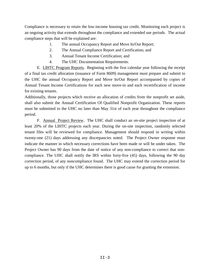Compliance is necessary to retain the low-income housing tax credit. Monitoring each project is an ongoing activity that extends throughout the compliance and extended use periods. The actual compliance steps that will be explained are:

- 1. The annual Occupancy Report and Move In/Out Report;
- 2. The Annual Compliance Report and Certification; and
- 3. Annual Tenant Income Certification; and
- 4. The UHC Documentation Requirements.

E. LIHTC Program Reports. Beginning with the first calendar year following the receipt of a final tax credit allocation (issuance of Form 8609) management must prepare and submit to the UHC the annual Occupancy Report and Move In/Out Report accompanied by copies of Annual Tenant Income Certifications for each new move-in and each recertification of income for existing tenants.

Additionally, those projects which receive an allocation of credits from the nonprofit set aside, shall also submit the Annual Certification Of Qualified Nonprofit Organization. These reports must be submitted to the UHC no later than May 31st of each year throughout the compliance period.

F. Annual Project Review. The UHC shall conduct an on-site project inspection of at least 20% of the LIHTC projects each year. During the on-site inspection, randomly selected tenant files will be reviewed for compliance. Management should respond in writing within twenty-one (21) days addressing any discrepancies noted. The Project Owner response must indicate the manner in which necessary corrections have been made or will be under taken. The Project Owner has 90 days from the date of notice of any non-compliance to correct that noncompliance. The UHC shall notify the IRS within forty-five (45) days, following the 90 day correction period, of any noncompliance found. The UHC may extend the correction period for up to 6 months, but only if the UHC determines there is good cause for granting the extension.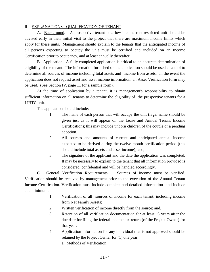#### III. EXPLANATIONS - QUALIFICATION OF TENANT

A. Background. A prospective tenant of a low-income rent-restricted unit should be advised early in their initial visit to the project that there are maximum income limits which apply for these units. Management should explain to the tenants that the anticipated income of all persons expecting to occupy the unit must be certified and included on an Income Certification prior to occupancy, and at least annually thereafter.

B. Application. A fully completed application is critical to an accurate determination of eligibility of the tenant. The information furnished on the application should be used as a tool to determine all sources of income including total assets and income from assets. In the event the application does not request asset and asset income information, an Asset Verification form may be used. (See Section IV, page 11 for a sample form).

At the time of application by a tenant, it is management's responsibility to obtain sufficient information on all tenants to determine the eligibility of the prospective tenants for a LIHTC unit.

The application should include:

- 1. The name of each person that will occupy the unit (legal name should be given just as it will appear on the Lease and Annual Tenant Income Certification); this may include unborn children of the couple or a pending adoption.
- 2. All sources and amounts of current and anticipated annual income expected to be derived during the twelve month certification period (this should include total assets and asset income); and,
- 3. The signature of the applicant and the date the application was completed. It may be necessary to explain to the tenant that all information provided is considered confidential and will be handled accordingly.

C. General Verification Requirements. Sources of income must be verified. Verification should be received by management prior to the execution of the Annual Tenant Income Certification. Verification must include complete and detailed information and include at a minimum:

- 1. Verification of all sources of income for each tenant, including income from Net Family Assets;
- 2. Written verification of income directly from the source; and,
- 3. Retention of all verification documentation for at least 6 years after the due date for filing the federal income tax return (of the Project Owner) for that year.
- 4. Application information for any individual that is not approved should be retained by the Project Owner for (1) one year.
	- a. Methods of Verification.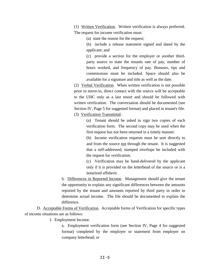(1) Written Verification. Written verification is always preferred. The request for income verification must:

(a) state the reason for the request;

(b) include a release statement signed and dated by the applicant; and

(c) provide a section for the employer or another thirdparty source to state the tenants rate of pay, number of hours worked, and frequency of pay. Bonuses, tips and commissions must be included. Space should also be available for a signature and title as well as the date.

(2) Verbal Verification. When written verification is not possible prior to move-in, direct contact with the source will be acceptable to the UHC only as a last resort and should be followed with written verification. The conversation should be documented (see Section IV, Page 5 for suggested format) and placed in tenant's file.

(3) Verification Transmittal:

(a) Tenant should be asked to sign two copies of each verification form. The second copy may be used when the first request has not been returned in a timely manner.

(b) Income verification requests must be sent directly to and from the source not through the tenant. It is suggested that a self-addressed, stamped envelope be included with the request for verification.

(c) Verification may be hand-delivered by the applicant only if it is provided on the letterhead of the source or is a notarized affidavit.

b. Differences in Reported Income. Management should give the tenant the opportunity to explain any significant differences between the amounts reported by the tenant and amounts reported by third party in order to determine actual income. The file should be documented to explain the difference.

D. Acceptable Forms of Verification. Acceptable forms of Verification for specific types of income situations are as follows:

1. Employment Income.

a. Employment verification form (see Section IV, Page 4 for suggested format) completed by the employer or statement from employer on company letterhead; or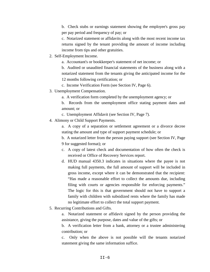b. Check stubs or earnings statement showing the employee's gross pay per pay period and frequency of pay; or

c. Notarized statement or affidavits along with the most recent income tax returns signed by the tenant providing the amount of income including income from tips and other gratuities.

- 2. Self-Employment Income.
	- a. Accountant's or bookkeeper's statement of net income; or

b. Audited or unaudited financial statements of the business along with a notarized statement from the tenants giving the anticipated income for the 12 months following certification; or

- c. Income Verification Form (see Section IV, Page 6).
- 3. Unemployment Compensation.
	- a. A verification form completed by the unemployment agency; or

b. Records from the unemployment office stating payment dates and amount; or

- c. Unemployment Affidavit (see Section IV, Page 7).
- 4. Alimony or Child Support Payments.

a. A copy of a separation or settlement agreement or a divorce decree stating the amount and type of support payment schedule; or

b. A notarized letter from the person paying support (see Section IV, Page 9 for suggested format); or

- c. A copy of latest check and documentation of how often the check is received or Office of Recovery Services report.
- d. HUD manual 4350.3 indicates in situations where the payee is not making full payments, the full amount of support will be included in gross income, except where it can be demonstrated that the recipient: "Has made a reasonable effort to collect the amounts due, including filing with courts or agencies responsible for enforcing payments." The logic for this is that government should not have to support a family with children with subsidized rents where the family has made no legitimate effort to collect the total support payment.
- 5. Recurring Contributions and Gifts.

a. Notarized statement or affidavit signed by the person providing the assistance, giving the purpose, dates and value of the gifts; or

b. A verification letter from a bank, attorney or a trustee administering contribution; or

c. Only when the above is not possible will the tenants notarized statement giving the same information suffice.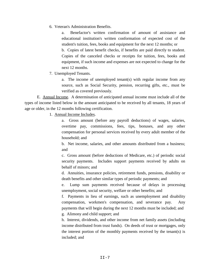6. Veteran's Administration Benefits.

Benefactor's written confirmation of amount of assistance and educational institution's written conformation of expected cost of the student's tuition, fees, books and equipment for the next 12 months; or

b. Copies of latest benefit checks, if benefits are paid directly to student. Copies of the canceled checks or receipts for tuition, fees, books and equipment, if such income and expenses are not expected to change for the next 12 months.

7. Unemployed Tenants.

a. The income of unemployed tenant(s) with regular income from any source, such as Social Security, pension, recurring gifts, etc., must be verified as covered previously.

E. Annual Income. A determination of anticipated annual income must include all of the types of income listed below in the amount anticipated to be received by all tenants, 18 years of age or older, in the 12 months following certification.

1. Annual Income Includes.

a. Gross amount (before any payroll deductions) of wages, salaries, overtime pay, commissions, fees, tips, bonuses, and any other compensation for personal services received by every adult member of the household; and

b. Net income, salaries, and other amounts distributed from a business; and

c. Gross amount (before deductions of Medicare, etc.) of periodic social security payments. Includes support payments received by adults on behalf of minors; and

d. Annuities, insurance policies, retirement funds, pensions, disability or death benefits and other similar types of periodic payments; and

e. Lump sum payments received because of delays in processing unemployment, social security, welfare or other benefits; and

f. Payments in lieu of earnings, such as unemployment and disability compensation, workmen's compensation, and severance pay. Any payments that will begin during the next 12 months must be included; and

g. Alimony and child support; and

h. Interest, dividends, and other income from net family assets (including income distributed from trust funds). On deeds of trust or mortgages, only the interest portion of the monthly payments received by the tenant(s) is included; and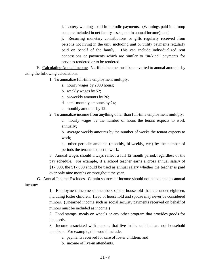i. Lottery winnings paid in periodic payments. (Winnings paid in a lump sum are included in net family assets, not in annual income); and

j. Recurring monetary contributions or gifts regularly received from persons not living in the unit, including unit or utility payments regularly paid on behalf of the family. This can include individualized rent concessions or payments which are similar to "in-kind" payments for services rendered or to be rendered.

F. Calculating Annual Income. Verified income must be converted to annual amounts by using the following calculations:

1. To annualize full-time employment multiply:

- a. hourly wages by 2080 hours;
- b. weekly wages by 52;
- c. bi-weekly amounts by 26;
- d. semi-monthly amounts by 24;
- e. monthly amounts by 12.
- 2. To annualize income from anything other than full-time employment multiply:

a. hourly wages by the number of hours the tenant expects to work annually;

b. average weekly amounts by the number of weeks the tenant expects to work;

c. other periodic amounts (monthly, bi-weekly, etc.) by the number of periods the tenants expect to work.

3. Annual wages should always reflect a full 12 month period, regardless of the pay schedule. For example, if a school teacher earns a gross annual salary of \$17,000, the \$17,000 should be used as annual salary whether the teacher is paid over only nine months or throughout the year.

G. Annual Income Excludes. Certain sources of income should not be counted as annual income:

> 1. Employment income of members of the household that are under eighteen, including foster children. Head of household and spouse may never be considered minors. (Unearned income such as social security payments received on behalf of minors must be included as income.)

> 2. Food stamps, meals on wheels or any other program that provides goods for the needy.

> 3. Income associated with persons that live in the unit but are not household members. For example, this would include:

- a. payments received for care of foster children; and
- b. income of live-in attendants.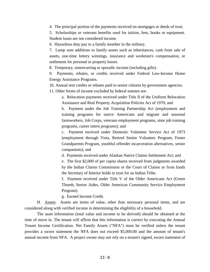4. The principal portion of the payments received on mortgages or deeds of trust.

5. Scholarships or veterans benefits used for tuition, fees, books or equipment. Student loans are not considered income.

6. Hazardous duty pay to a family member in the military.

7. Lump sum additions to family assets such as inheritances, cash from sale of assets, one-time lottery winnings, insurance and workmen's compensation, or settlement for personal or property losses.

8. Temporary, nonrecurring or sporadic income (including gifts).

9. Payments, rebates, or credits received under Federal Low-Income Home Energy Assistance Programs.

10. Annual rent credits or rebates paid to senior citizens by government agencies.

11. Other forms of income excluded by federal statutes are:

a. Relocation payments received under Title II of the Uniform Relocation Assistance and Real Property Acquisition Policies Act of 1970; and

b. Payment under the Job Training Partnership Act (employment and training programs for native Americans and migrant and seasonal farmworkers, Job Corps, veterans employment programs, state job training programs, career intern programs); and

c. Payment received under Domestic Volunteer Service Act of 1973 (employment through Vista, Retired Senior Volunteer Program, Foster Grandparents Program, youthful offender incarceration alternatives, senior companions); and

d. Payments received under Alaskan Native Claims Settlement Act; and

e. The first \$2,000 of per capita shares received from judgments awarded by the Indian Claims Commission or the Court of Claims or from funds the Secretary of Interior holds in trust for an Indian Tribe.

f. Payment received under Title V of the Older Americans Act (Green Thumb, Senior Aides, Older American Community Service Employment Program).

g. Earned Income Credit.

H. Assets. Assets are items of value, other than necessary personal items, and are considered along with verified income in determining the eligibility of a household.

The asset information (total value and income to be derived) should be obtained at the time of move in. The tenant will affirm that this information is correct by executing the Annual Tenant Income Certification. Net Family Assets ("NFA") must be verified unless the tenant provides a sworn statement the NFA does not exceed \$5,000.00 and the amount of tenant's annual income from NFA. A project owner may not rely on a tenant's signed, sworn statement of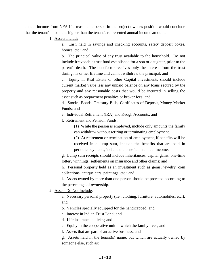annual income from NFA if a reasonable person in the project owner's position would conclude that the tenant's income is higher than the tenant's represented annual income amount.

1. Assets Include:

a. Cash held in savings and checking accounts, safety deposit boxes, homes, etc.; and

b. The principal value of any trust available to the household. Do not include irrevocable trust fund established for a son or daughter, prior to the parent's death. The benefactor receives only the interest from the trust during his or her lifetime and cannot withdraw the principal; and

c. Equity in Real Estate or other Capital Investments should include current market value less any unpaid balance on any loans secured by the property and any reasonable costs that would be incurred in selling the asset such as prepayment penalties or broker fees; and

d. Stocks, Bonds, Treasury Bills, Certificates of Deposit, Money Market Funds; and

e. Individual Retirement (IRA) and Keogh Accounts; and

f. Retirement and Pension Funds:

(1) While the person is employed, include only amounts the family can withdraw without retiring or terminating employment.

(2) At retirement or termination of employment, if benefits will be received in a lump sum, include the benefits that are paid in periodic payments, include the benefits in annual income.

g. Lump sum receipts should include inheritances, capital gains, one-time lottery winnings, settlements on insurance and other claims; and

h. Personal property held as an investment such as gems, jewelry, coin collections, antique cars, paintings, etc.; and

i. Assets owned by more than one person should be prorated according to the percentage of ownership.

2. Assets Do Not Include:

a. Necessary personal property (i.e., clothing, furniture, automobiles, etc.); and

b. Vehicles specially equipped for the handicapped; and

c. Interest in Indian Trust Land; and

d. Life insurance policies; and

e. Equity in the cooperative unit in which the family lives; and

f. Assets that are part of an active business; and

g. Assets held in the tenant(s) name, but which are actually owned by someone else, such as: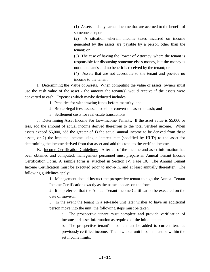(1) Assets and any earned income that are accrued to the benefit of someone else; or

(2) A situation wherein income taxes incurred on income generated by the assets are payable by a person other than the tenant; or

(3) The case of having the Power of Attorney, where the tenant is responsible for disbursing someone else's money, but the money is not the tenant's and no benefit is received by the tenant; or

(4) Assets that are not accessible to the tenant and provide no income to the tenant.

I. Determining the Value of Assets. When computing the value of assets, owners must use the cash value of the asset - the amount the tenant(s) would receive if the assets were converted to cash. Expenses which maybe deducted includes:

1. Penalties for withdrawing funds before maturity; and

- 2. Broker/legal fees assessed to sell or convert the asset to cash; and
- 3. Settlement costs for real estate transactions.

J. Determining Asset Income For Low-Income Tenants. If the asset value is \$5,000 or less, add the amount of actual income derived therefrom to the total verified income. When assets exceed \$5,000, add the greater of 1) the actual annual income to be derived from these assets, or 2) the imputed income using a interest rate (specified by HUD) to the asset for determining the income derived from that asset and add this total to the verified income.

K. Income Certification Guidelines. After all of the income and asset information has been obtained and computed, management personnel must prepare an Annual Tenant Income Certification Form. A sample form is attached in Section IV, Page 10. The Annual Tenant Income Certification must be executed prior to move-in, and at least annually thereafter. The following guidelines apply:

> 1. Management should instruct the prospective tenant to sign the Annual Tenant Income Certification exactly as the name appears on the form.

> 2. It is preferred that the Annual Tenant Income Certification be executed on the date of move-in.

> 3. In the event the tenant in a set-aside unit later wishes to have an additional person move into the unit, the following steps must be taken:

a. The prospective tenant must complete and provide verification of income and asset information as required of the initial tenant.

b. The prospective tenant's income must be added to current tenant's previously certified income. The new total unit income must be within the set income limits.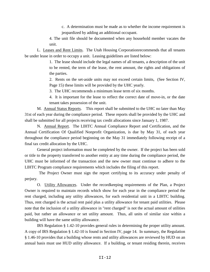c. A determination must be made as to whether the income requirement is jeopardized by adding an additional occupant.

4. The unit file should be documented when any household member vacates the unit.

L. Leases and Rent Limits. The Utah Housing Corporationrecommends that all tenants be under lease in order to occupy a unit. Leasing guidelines are listed below:

> 1. The lease should include the legal names of all tenants, a description of the unit to be rented, the term of the lease, the rent amount, the rights and obligations of the parties.

> 2. Rents on the set-aside units may not exceed certain limits, (See Section IV, Page 15) these limits will be provided by the UHC yearly.

3. The UHC recommends a minimum lease term of six months.

4. It is important for the lease to reflect the correct date of move-in, or the date tenant takes possession of the unit.

M. Annual Status Reports. This report shall be submitted to the UHC no later than May 31st of each year during the compliance period. These reports shall be provided by the UHC and shall be submitted for all projects receiving tax credit allocations since January 1, 1987.

N. Annual Report. The LIHTC Annual Compliance Report and Certification, and the Annual Certification Of Qualified Nonprofit Organization, is due by May 31, of each year throughout the compliance period beginning on the May 31 immediately following receipt of a final tax credit allocation by the UHC.

General project information must be completed by the owner. If the project has been sold or title to the property transferred to another entity at any time during the compliance period, the UHC must be informed of the transaction and the new owner must continue to adhere to the LIHTC Program compliance requirements which includes the filing of this report.

 The Project Owner must sign the report certifying to its accuracy under penalty of perjury.

O. Utility Allowances. Under the recordkeeping requirements of the Plan, a Project Owner is required to maintain records which show for each year in the compliance period the rent charged, including any utility allowances, for each residential unit in a LIHTC building. Thus, rent charged is the actual rent paid plus a utility allowance for tenant paid utilities. Please note that the inclusion of a utility allowance in "rent charged" is not the actual amount of utilities paid, but rather an allowance or set utility amount. Thus, all units of similar size within a building will have the same utility allowance.

IRS Regulation § 1.42-10 provides general rules in determining the proper utility amount. A copy of IRS Regulation § 1.42-10 is found in Section IV, page 14. In summary, the Regulation § 1.46-10 provides that a building whose rents and utility allowances are reviewed by HUD on an annual basis must use HUD utility allowance. If a building, or tenant residing therein, receives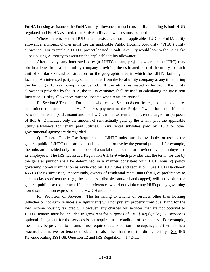FmHA housing assistance, the FmHA utility allowances must be used. If a building is both HUD regulated and FmHA assisted, then FmHA utility allowances must be used.

Where there is neither HUD tenant assistance, nor an applicable HUD or FmHA utility allowance, a Project Owner must use the applicable Public Housing Authority ("PHA") utility allowance. For example, a LIHTC project located in Salt Lake City would look to the Salt Lake City Housing Authority to ascertain the applicable utility allowance.

Alternatively, any interested party (a LIHTC tenant, project owner, or the UHC) may obtain a letter from a local utility company providing the estimated cost of the utility for each unit of similar size and construction for the geographic area in which the LIHTC building is located. An interested party may obtain a letter from the local utility company at any time during the building's 15 year compliance period. If the utility estimated differ from the utility allowances provided by the PHA, the utility estimates shall be used in calculating the gross rent limitation. Utility allowances must be updated when rents are revised.

P. Section 8 Tenants. For tenants who receive Section 8 certificates, and thus pay a predetermined rent amount, and HUD makes payment to the Project Owner for the difference between the tenant paid amount and the HUD fair market rent amount, rent charged for purposes of IRC § 42 includes only the amount of rent actually paid by the tenant, plus the applicable utility allowance for tenant paid utilities. Any rental subsidies paid by HUD or other governmental agency are disregarded.

Q. General Public Use Requirement. LIHTC units must be available for use by the general public. LIHTC units are not made available for use by the general public, if for example, the units are provided only for members of a social organization or provided by an employer for its employees. The IRS has issued Regulation § 1.42-9 which provides that the term "for use by the general public" shall be determined in a manner consistent with HUD housing policy governing non-discrimination as evidenced by HUD rules and regulation. See HUD Handbook 4350.3 (or its successor). Accordingly, owners of residential rental units that give preferences to certain classes of tenants (e.g., the homeless, disabled and/or handicapped) will not violate the general public use requirement if such preferences would not violate any HUD policy governing non-discrimination expressed in the HUD Handbook.

R. Provision of Services. The furnishing to tenants of services other than housing (whether or not such services are significant) will not prevent property from qualifying for the low income housing tax credit. However, any charges for services that are not optional to LIHTC tenants must be included in gross rent for purposes of IRC  $\S$  42(g)(2)(A). A service is optional if payment for the services is not required as a condition of occupancy. For example, meals may be provided to tenants if not required as a condition of occupancy and there exists a practical alternative for tenants to obtain meals other than from the dining facility. See IRS Revenue Ruling 1991-38, Question 12 and IRS Regulation § 1.42-11.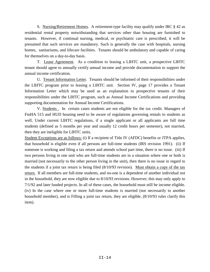S. Nursing/Retirement Homes. A retirement-type facility may qualify under IRC § 42 as residential rental property notwithstanding that services other than housing are furnished to tenants. However, if continual nursing, medical, or psychiatric care is prescribed, it will be presumed that such services are mandatory. Such is generally the case with hospitals, nursing homes, sanitariums, and lifecare facilities. Tenants should be ambulatory and capable of caring for themselves on a day-to-day basis.

T. Lease Agreement. As a condition to leasing a LIHTC unit, a prospective LIHTC tenant should agree to annually certify annual income and provide documentation to support the annual income certification.

U. Tenant Information Letter. Tenants should be informed of their responsibilities under the LIHTC program prior to leasing a LIHTC unit. Section IV, page 17 provides a Tenant Information Letter which may be used as an explanation to prospective tenants of their responsibilities under the LIHTC program, such as Annual Income Certifications and providing supporting documentation for Annual Income Certifications.

V. Students . In certain cases students are not eligible for the tax credit. Managers of FmHA 515 and HUD housing need to be aware of regulations governing rentals to students as well. Under current LIHTC regulations, if a single applicant or all applicants are full time students (defined as 5 months per year and usually 12 credit hours per semester), not married, then they are ineligible for LIHTC units.

Student Exceptions are as follows: (i) If a recipient of Title IV (AFDC) benefits or JTPA applies, that household is eligible even if all persons are full-time students (IRS revision 1991). (ii) If someone is working and filing a tax return and attends school part time, there is no issue. (iii) If two persons living in one unit who are full-time students are in a situation where one or both is married (not necessarily to the other person living in the unit), then there is no issue in regard to the students if a joint tax return is being filed (8/10/93 revision). Must obtain a copy of the tax return. If all members are full-time students, and no-one is a dependent of another individual not in the household, they are now eligible due to 8/10/93 revisions. However; this may only apply to 7/1/92 and later funded projects. In all of these cases, the household must still be income eligible. (iv) In the case where one or more full-time students is married (not necessarily to another household member), and is Filling a joint tax return, they are eligible, (8/10/93 rules clarify this item).